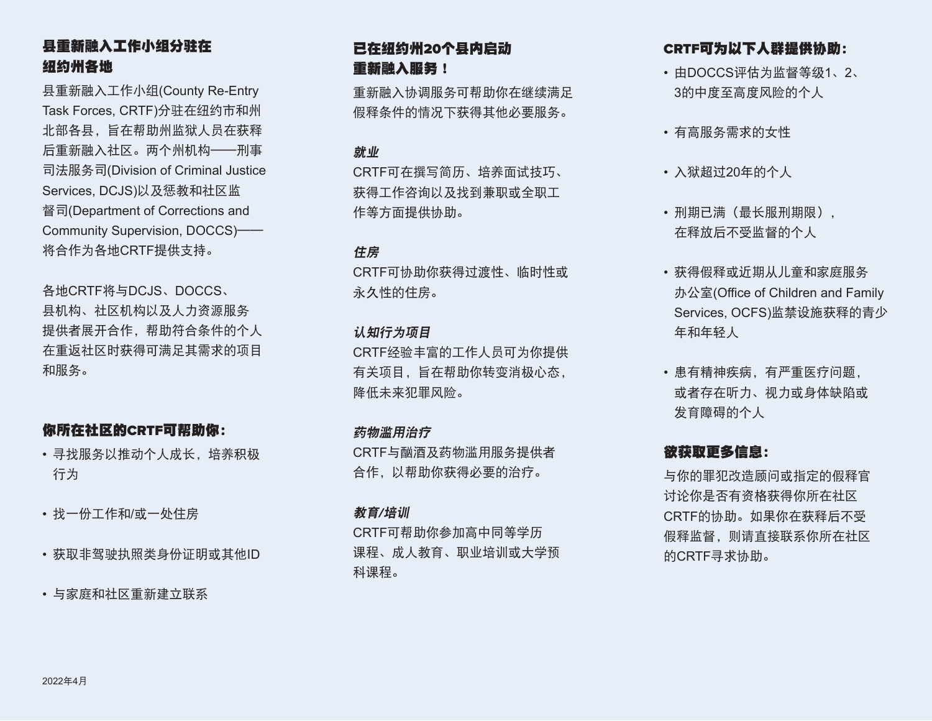# 县重新融入工作小组分驻在 纽约州各地

县重新融入工作小组(County Re-Entry Task Forces, CRTF)分驻在纽约市和州 北部各县,旨在帮助州监狱人员在获释 后重新融入社区。两个州机构——刑事 司法服务司(Division of Criminal Justice Services, DCJS)以及惩教和社区监 督司(Department of Corrections and Community Supervision, DOCCS)—— 将合作为各地CRTF提供支持。

各地CRTF将与DCJS、DOCCS、 县机构、社区机构以及人力资源服务 提供者展开合作,帮助符合条件的个人 在重返社区时获得可满足其需求的项目 和服务。

# 你所在社区的CRTF可帮助你:

- 寻找服务以推动个人成长,培养积极 行为
- 找一份工作和/或一处住房
- 获取非驾驶执照类身份证明或其他ID
- 与家庭和社区重新建立联系

# 已在纽约州20个县内启动 重新融入服务!

重新融入协调服务可帮助你在继续满足 假释条件的情况下获得其他必要服务。

## 就业

CRTF可在撰写简历、培养面试技巧、 获得工作咨询以及找到兼职或全职工 作等方面提供协助。

### 住房

CRTF可协助你获得过渡性、临时性或 永久性的住房。

## 认知行为项目

CRTF经验丰富的工作人员可为你提供 有关项目,旨在帮助你转变消极心态, 降低未来犯罪风险。

## 药物滥用治疗

CRTF与酗酒及药物滥用服务提供者 合作,以帮助你获得必要的治疗。

## 教育/培训

CRTF可帮助你参加高中同等学历 课程、成人教育、职业培训或大学预 科课程。

# CRTF可为以下人群提供协助:

- 由DOCCS评估为监督等级1、2、 3的中度至高度风险的个人
- 有高服务需求的女性
- 入狱超过20年的个人
- 刑期已满(最长服刑期限), 在释放后不受监督的个人
- 获得假释或近期从儿童和家庭服务 办公室(Office of Children and Family Services, OCFS)监禁设施获释的青少 年和年轻人
- 患有精神疾病,有严重医疗问题, 或者存在听力、视力或身体缺陷或 发育障碍的个人

# 欲获取更多信息:

与你的罪犯改造顾问或指定的假释官 讨论你是否有资格获得你所在社区 CRTF的协助。如果你在获释后不受 假释监督,则请直接联系你所在社区 的CRTF寻求协助。